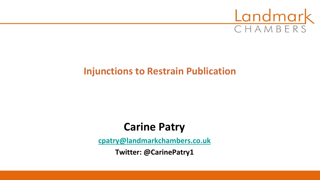

# **Injunctions to Restrain Publication**

# **Carine Patry**

**[cpatry@landmarkchambers.co.uk](mailto:cpatry@landmarkchambers.co.uk)**

**Twitter: @CarinePatry1**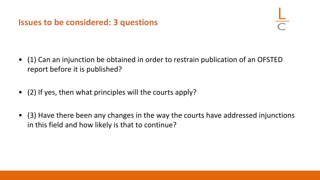#### **Issues to be considered: 3 questions**

- (1) Can an injunction be obtained in order to restrain publication of an OFSTED report before it is published?
- (2) If yes, then what principles will the courts apply?
- (3) Have there been any changes in the way the courts have addressed injunctions in this field and how likely is that to continue?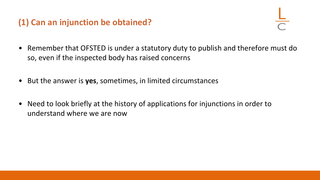# **(1) Can an injunction be obtained?**

- Remember that OFSTED is under a statutory duty to publish and therefore must do so, even if the inspected body has raised concerns
- But the answer is **yes**, sometimes, in limited circumstances
- Need to look briefly at the history of applications for injunctions in order to understand where we are now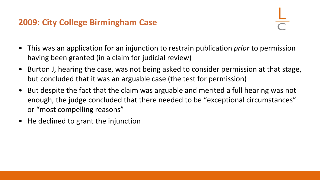## **2009: City College Birmingham Case**

- This was an application for an injunction to restrain publication *prior* to permission having been granted (in a claim for judicial review)
- Burton J, hearing the case, was not being asked to consider permission at that stage, but concluded that it was an arguable case (the test for permission)
- But despite the fact that the claim was arguable and merited a full hearing was not enough, the judge concluded that there needed to be "exceptional circumstances" or "most compelling reasons"
- He declined to grant the injunction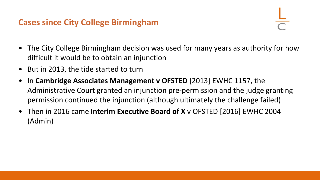#### **Cases since City College Birmingham**

- The City College Birmingham decision was used for many years as authority for how difficult it would be to obtain an injunction
- But in 2013, the tide started to turn
- In **Cambridge Associates Management v OFSTED** [2013] EWHC 1157, the Administrative Court granted an injunction pre-permission and the judge granting permission continued the injunction (although ultimately the challenge failed)
- Then in 2016 came **Interim Executive Board of X** v OFSTED [2016] EWHC 2004 (Admin)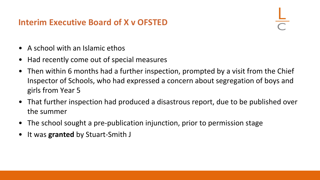## **Interim Executive Board of X v OFSTED**

- A school with an Islamic ethos
- Had recently come out of special measures
- Then within 6 months had a further inspection, prompted by a visit from the Chief Inspector of Schools, who had expressed a concern about segregation of boys and girls from Year 5
- That further inspection had produced a disastrous report, due to be published over the summer
- The school sought a pre-publication injunction, prior to permission stage
- It was **granted** by Stuart-Smith J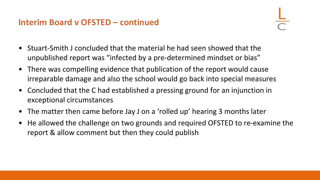## **Interim Board v OFSTED – continued**

- Stuart-Smith J concluded that the material he had seen showed that the unpublished report was "infected by a pre-determined mindset or bias"
- There was compelling evidence that publication of the report would cause irreparable damage and also the school would go back into special measures
- Concluded that the C had established a pressing ground for an injunction in exceptional circumstances
- The matter then came before Jay J on a 'rolled up' hearing 3 months later
- He allowed the challenge on two grounds and required OFSTED to re-examine the report & allow comment but then they could publish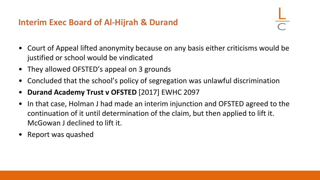#### **Interim Exec Board of Al-Hijrah & Durand**

- Court of Appeal lifted anonymity because on any basis either criticisms would be justified or school would be vindicated
- They allowed OFSTED's appeal on 3 grounds
- Concluded that the school's policy of segregation was unlawful discrimination
- **Durand Academy Trust v OFSTED** [2017] EWHC 2097
- In that case, Holman J had made an interim injunction and OFSTED agreed to the continuation of it until determination of the claim, but then applied to lift it. McGowan J declined to lift it.
- Report was quashed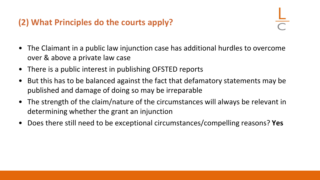# **(2) What Principles do the courts apply?**

- The Claimant in a public law injunction case has additional hurdles to overcome over & above a private law case
- There is a public interest in publishing OFSTED reports
- But this has to be balanced against the fact that defamatory statements may be published and damage of doing so may be irreparable
- The strength of the claim/nature of the circumstances will always be relevant in determining whether the grant an injunction
- Does there still need to be exceptional circumstances/compelling reasons? **Yes**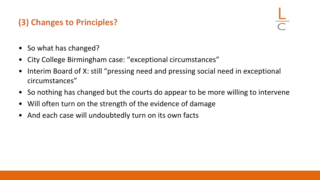# **(3) Changes to Principles?**

- So what has changed?
- City College Birmingham case: "exceptional circumstances"
- Interim Board of X: still "pressing need and pressing social need in exceptional circumstances"
- So nothing has changed but the courts do appear to be more willing to intervene
- Will often turn on the strength of the evidence of damage
- And each case will undoubtedly turn on its own facts